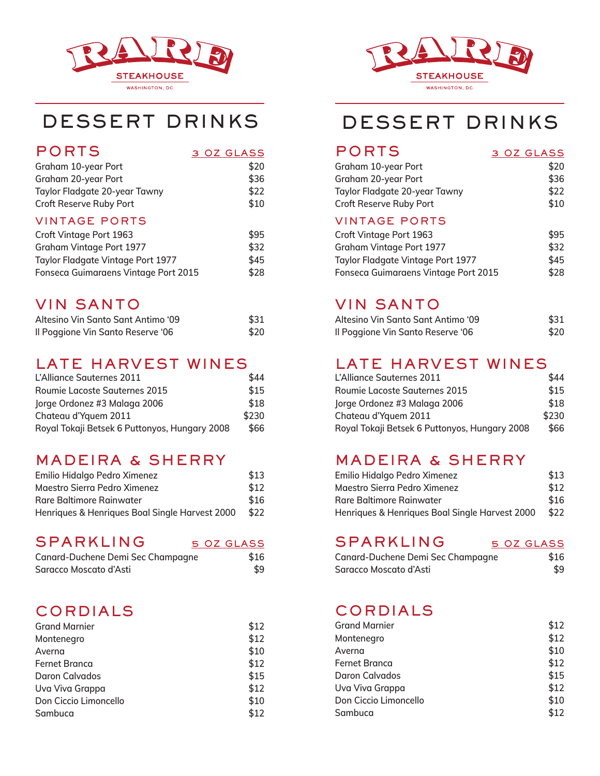

| <b>PORTS</b>        | 3 OZ GLASS |
|---------------------|------------|
| Graham 10-year Port | \$20       |

| Graham 20-year Port            | \$36 |
|--------------------------------|------|
| Taylor Fladgate 20-year Tawny  | \$22 |
| <b>Croft Reserve Ruby Port</b> | \$10 |
| <b>VINTAGE PORTS</b>           |      |
| <b>Croft Vintage Port 1963</b> | \$95 |
| Graham Vintage Port 1977       | \$32 |
|                                |      |

| Ordinami vintugu i ort 1977                 | ے ت  |
|---------------------------------------------|------|
| <b>Taylor Fladgate Vintage Port 1977</b>    | \$45 |
| <b>Fonseca Guimaraens Vintage Port 2015</b> | \$28 |

## VIN SANTO

| Altesino Vin Santo Sant Antimo '09 | \$31 |
|------------------------------------|------|
| Il Poggione Vin Santo Reserve '06  | \$20 |

## LATE HARVEST WINES

| L'Alliance Sauternes 2011                     | \$44  |
|-----------------------------------------------|-------|
| <b>Roumie Lacoste Sauternes 2015</b>          | \$15  |
| Jorge Ordonez #3 Malaga 2006                  | \$18  |
| Chateau d'Yquem 2011                          | \$230 |
| Royal Tokaji Betsek 6 Puttonyos, Hungary 2008 | \$66  |

## MADEIRA & SHERRY

| Emilio Hidalgo Pedro Ximenez                   | \$13 |
|------------------------------------------------|------|
| Maestro Sierra Pedro Ximenez                   | \$12 |
| Rare Baltimore Rainwater                       | \$16 |
| Henriques & Henriques Boal Single Harvest 2000 | \$22 |

### SPARKLING 5 OZ GLASS

| Canard-Duchene Demi Sec Champagne | \$16 |
|-----------------------------------|------|
| Saracco Moscato d'Asti            | \$9  |

## CORDIALS

| <b>Grand Marnier</b>  | \$12 |
|-----------------------|------|
| Montenegro            | \$12 |
| Averna                | \$10 |
| <b>Fernet Branca</b>  | \$12 |
| Daron Calvados        | \$15 |
| Uva Viva Grappa       | \$12 |
| Don Ciccio Limoncello | \$10 |
| Sambuca               | \$12 |



# DESSERT DRINKS DESSERT DRINKS

### PORTS 3 OZ GLASS

| Graham 10-year Port<br>Graham 20-year Port<br>Taylor Fladgate 20-year Tawny<br>Croft Reserve Ruby Port | \$20 |  |
|--------------------------------------------------------------------------------------------------------|------|--|
|                                                                                                        | \$36 |  |
|                                                                                                        | \$22 |  |
|                                                                                                        | \$10 |  |

#### VINTAGE PORTS

| Croft Vintage Port 1963                     | \$95 |
|---------------------------------------------|------|
| Graham Vintage Port 1977                    | \$32 |
| Taylor Fladgate Vintage Port 1977           | \$45 |
| <b>Fonseca Guimaraens Vintage Port 2015</b> | \$28 |

## VIN SANTO

| Altesino Vin Santo Sant Antimo '09 | \$31 |
|------------------------------------|------|
| Il Poggione Vin Santo Reserve '06  | \$20 |

## LATE HARVEST WINES

| L'Alliance Sauternes 2011                     | \$44  |
|-----------------------------------------------|-------|
| <b>Roumie Lacoste Sauternes 2015</b>          | \$15  |
| Jorge Ordonez #3 Malaga 2006                  | \$18  |
| Chateau d'Yquem 2011                          | \$230 |
| Royal Tokaji Betsek 6 Puttonyos, Hungary 2008 | \$66  |

## MADEIRA & SHERRY

| Emilio Hidalgo Pedro Ximenez                   | \$13 |
|------------------------------------------------|------|
| Maestro Sierra Pedro Ximenez                   | \$12 |
| Rare Baltimore Rainwater                       | \$16 |
| Henriques & Henriques Boal Single Harvest 2000 | \$22 |

## SPARKLING 5 OZ GLASS

| Canard-Duchene Demi Sec Champagne | \$16 |
|-----------------------------------|------|
| Saracco Moscato d'Asti            | \$9  |

## CORDIALS

| <b>Grand Marnier</b>  | \$12 |
|-----------------------|------|
| Montenegro            | \$12 |
| Averna                | \$10 |
| Fernet Branca         | \$12 |
| Daron Calvados        | \$15 |
| Uva Viva Grappa       | \$12 |
| Don Ciccio Limoncello | \$10 |
| Sambuca               | \$12 |
|                       |      |